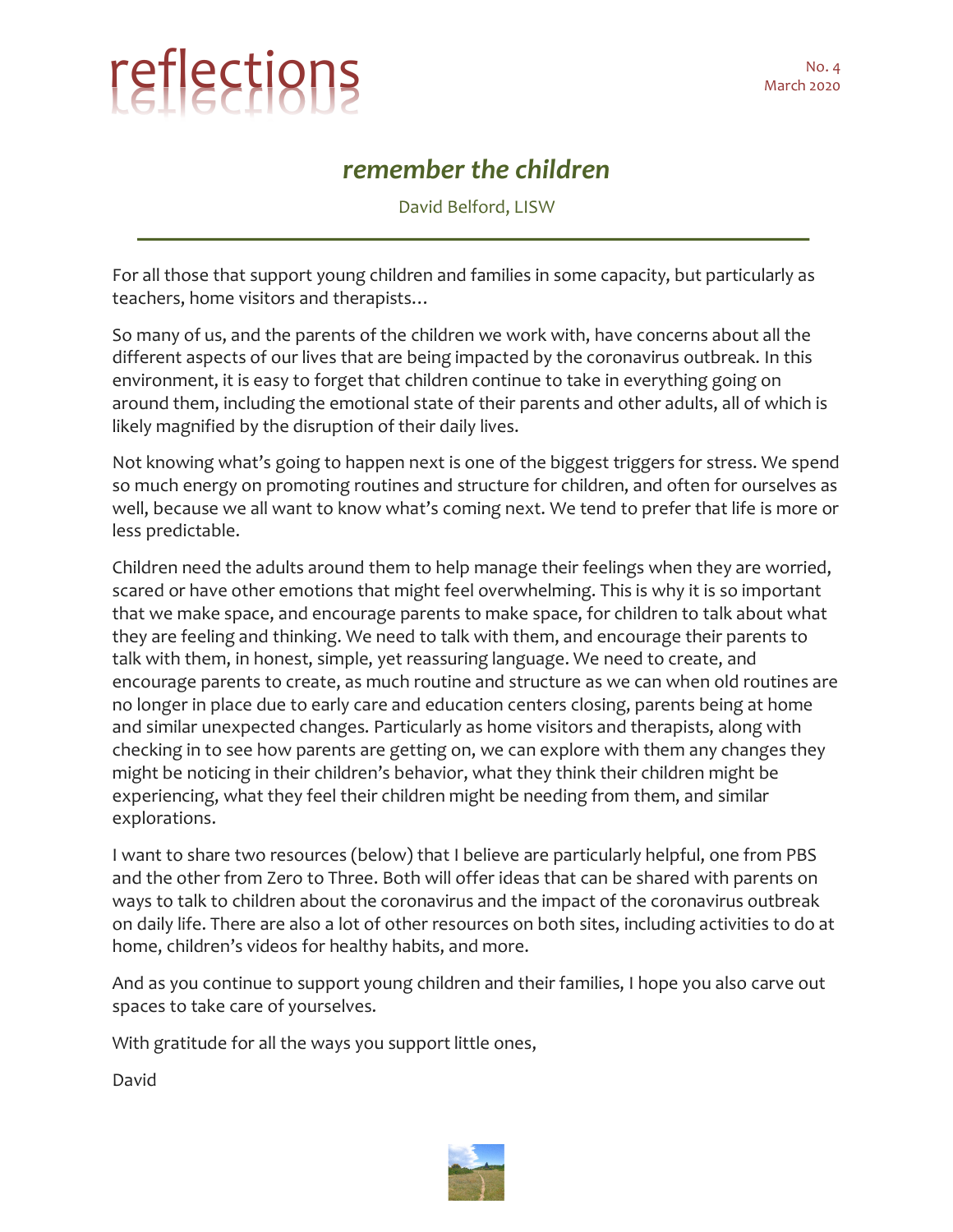## reflections March 2020

## *remember the children*

David Belford, LISW

For all those that support young children and families in some capacity, but particularly as teachers, home visitors and therapists…

So many of us, and the parents of the children we work with, have concerns about all the different aspects of our lives that are being impacted by the coronavirus outbreak. In this environment, it is easy to forget that children continue to take in everything going on around them, including the emotional state of their parents and other adults, all of which is likely magnified by the disruption of their daily lives.

Not knowing what's going to happen next is one of the biggest triggers for stress. We spend so much energy on promoting routines and structure for children, and often for ourselves as well, because we all want to know what's coming next. We tend to prefer that life is more or less predictable.

Children need the adults around them to help manage their feelings when they are worried, scared or have other emotions that might feel overwhelming. This is why it is so important that we make space, and encourage parents to make space, for children to talk about what they are feeling and thinking. We need to talk with them, and encourage their parents to talk with them, in honest, simple, yet reassuring language. We need to create, and encourage parents to create, as much routine and structure as we can when old routines are no longer in place due to early care and education centers closing, parents being at home and similar unexpected changes. Particularly as home visitors and therapists, along with checking in to see how parents are getting on, we can explore with them any changes they might be noticing in their children's behavior, what they think their children might be experiencing, what they feel their children might be needing from them, and similar explorations.

I want to share two resources (below) that I believe are particularly helpful, one from PBS and the other from Zero to Three. Both will offer ideas that can be shared with parents on ways to talk to children about the coronavirus and the impact of the coronavirus outbreak on daily life. There are also a lot of other resources on both sites, including activities to do at home, children's videos for healthy habits, and more.

And as you continue to support young children and their families, I hope you also carve out spaces to take care of yourselves.

With gratitude for all the ways you support little ones,

David